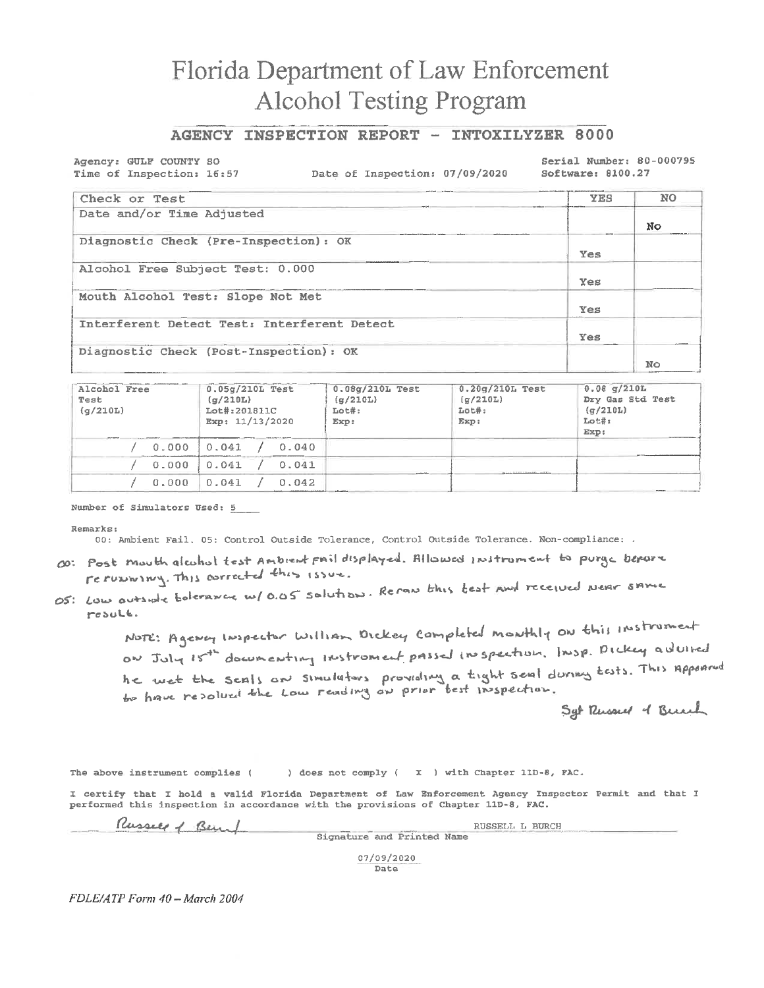## Florida Department of Law Enforcement **Alcohol Testing Program**

### AGENCY INSPECTION REPORT - INTOXILYZER 8000

Agency: GULF COUNTY SO Time of Inspection: 16:57

Date of Inspection: 07/09/2020

Serial Number: 80-000795 Software: 8100.27

| Check or Test                               | <b>YES</b> | NO. |
|---------------------------------------------|------------|-----|
| Date and/or Time Adjusted                   |            | No  |
| Diagnostic Check (Pre-Inspection): OK       | <b>Yes</b> |     |
| Alcohol Free Subject Test: 0.000            | Yes        |     |
| Mouth Alcohol Test: Slope Not Met           | Yes        |     |
| Interferent Detect Test: Interferent Detect | Yes        |     |
| Diagnostic Check (Post-Inspection): OK      |            | No  |

| Alcohol Free<br>Test<br>(q/210L) | $0.05q/210L$ Test<br>(a/210L)<br>Lot#:201811C<br>Exp: 11/13/2020 | $0.08q/210L$ Test<br>(g/210L)<br>$Lot#$ :<br>Exp: | $0.20g/210L$ Test<br>$\left(\alpha/210L\right)$<br>Lot#:<br>Exp: | $0.08$ q/210L<br>Dry Gas Std Test<br>(q/210L)<br>Lot#:<br>Exp: |
|----------------------------------|------------------------------------------------------------------|---------------------------------------------------|------------------------------------------------------------------|----------------------------------------------------------------|
| 0.000                            | 0.041<br>0.040                                                   |                                                   |                                                                  |                                                                |
| 0.000                            | 0.041<br>0.041                                                   |                                                   | and the first contract in the complete three sections in         |                                                                |
| 0.000                            | 0.041<br>0.042                                                   |                                                   |                                                                  |                                                                |

Number of Simulators Used: 5

Remarks:

00: Ambient Fail. 05: Control Outside Tolerance, Control Outside Tolerance. Non-compliance: .

- 00: Post mouth alcohol test Ambrent pail displayed. Allowed instrument to purge before rerunning. This corrected this issue.
- OS: Low outside belevance w/ 0.05 solution. Rerow this test punt received Near same result.

NOTE: Agency Inspector William Orckey Completed monthly on this instrument on July 15th documenting instroment passed inspection. Insp. Dickey advised he wet the seals are simulators providing a tight seal during tests. This appoared

Set Russel of Bunch

The above instrument complies ( ) does not comply ( X ) with Chapter 11D-8, FAC.

I certify that I hold a valid Florida Department of Law Enforcement Agency Inspector Permit and that I performed this inspection in accordance with the provisions of Chapter 11D-8, FAC.

Russell of Bend

Signature and Printed Name

RUSSELL L BURCH

07/09/2020 Date

FDLE/ATP Form 40 - March 2004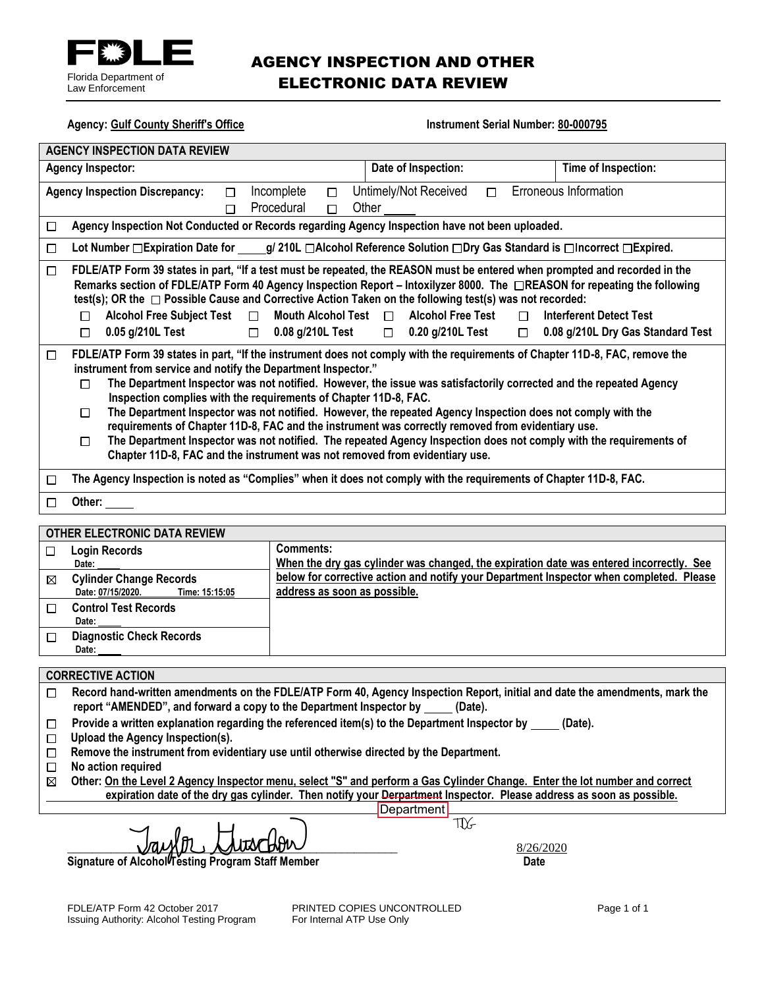

## AGENCY INSPECTION AND OTHER ELECTRONIC DATA REVIEW

**Agency: Gulf County Sheriff's Office Instrument Serial Number: 80-000795 AGENCY INSPECTION DATA REVIEW Agency Inspector: Date of Inspection: Time of Inspection:**  Agency Inspection Discrepancy:  $\Box$  Incomplete  $\Box$  Untimely/Not Received  $\Box$  Erroneous Information Procedural  $\Box$  Other  $\Box$ **Agency Inspection Not Conducted or Records regarding Agency Inspection have not been uploaded.** □ Lot Number □Expiration Date for \_\_\_\_\_g/ 210L □Alcohol Reference Solution □Dry Gas Standard is □Incorrect □Expired.  $\Box$ **FDLE/ATP Form 39 states in part, "If a test must be repeated, the REASON must be entered when prompted and recorded in the**   $\Box$ **Remarks section of FDLE/ATP Form 40 Agency Inspection Report – Intoxilyzer 8000. The REASON for repeating the following**  test(s); OR the □ Possible Cause and Corrective Action Taken on the following test(s) was not recorded:  **Alcohol Free Subject Test Mouth Alcohol Test Alcohol Free Test Interferent Detect Test 0.05 g/210L Test 0.08 g/210L Test 0.20 g/210L Test 0.08 g/210L Dry Gas Standard Test**   $\Box$ **FDLE/ATP Form 39 states in part, "If the instrument does not comply with the requirements of Chapter 11D-8, FAC, remove the**   $\Box$ **instrument from service and notify the Department Inspector." The Department Inspector was not notified. However, the issue was satisfactorily corrected and the repeated Agency Inspection complies with the requirements of Chapter 11D-8, FAC. The Department Inspector was not notified. However, the repeated Agency Inspection does not comply with the**   $\Box$ **requirements of Chapter 11D-8, FAC and the instrument was correctly removed from evidentiary use. The Department Inspector was not notified. The repeated Agency Inspection does not comply with the requirements of Chapter 11D-8, FAC and the instrument was not removed from evidentiary use. The Agency Inspection is noted as "Complies" when it does not comply with the requirements of Chapter 11D-8, FAC.** □ **Other:**  □ **OTHER ELECTRONIC DATA REVIEW Comments: Login Records** □ **When the dry gas cylinder was changed, the expiration date was entered incorrectly. See Date: below for corrective action and notify your Department Inspector when completed. Please**  ⊠ **Cylinder Change Records Date: 07/15/2020. Time: 15:15:05 address as soon as possible. Control Test Records**  $\Box$  **Date:**   $\Box$ **Diagnostic Check Records Date: CORRECTIVE ACTION Record hand-written amendments on the FDLE/ATP Form 40, Agency Inspection Report, initial and date the amendments, mark the**  □ **report "AMENDED", and forward a copy to the Department Inspector by (Date). Provide a written explanation regarding the referenced item(s) to the Department Inspector by (Date).** □ **Upload the Agency Inspection(s). Remove the instrument from evidentiary use until otherwise directed by the Department. No action required** П  **Other: On the Level 2 Agency Inspector menu, select "S" and perform a Gas Cylinder Change. Enter the lot number and correct expiration date of the dry gas cylinder. Then notify your Derpartment Inspector. Please address as soon as possible. Department** 

 $\frac{8/26}{200}$ 

**Signature of Alcohol<sup>l</sup> Testing Program Staff Member Date and Date and Date of Alcoholl Testing Program Staff Member** 

TIX-